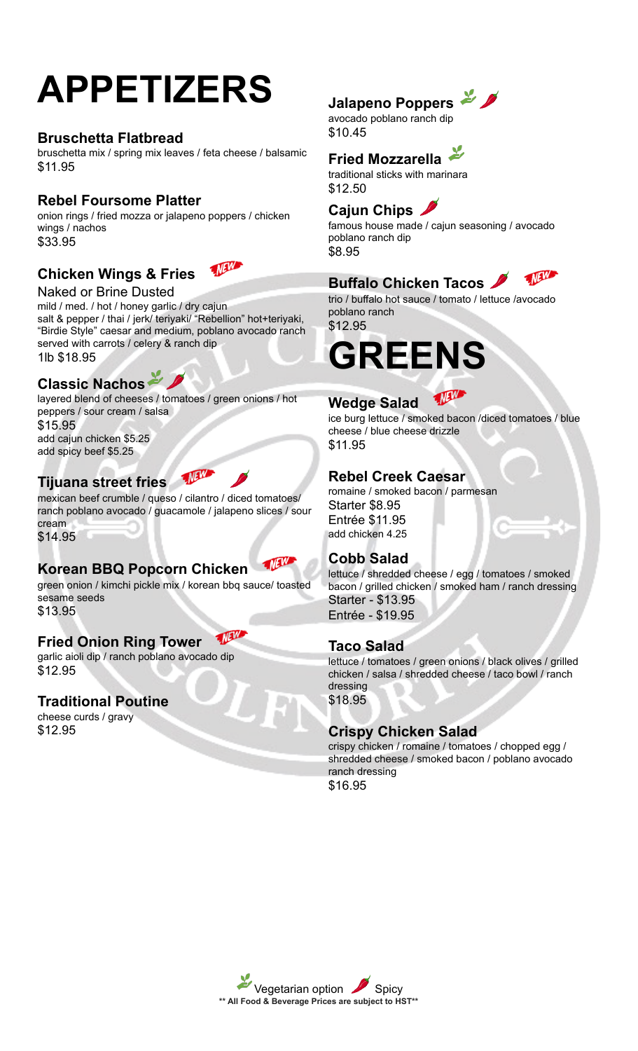# **APPETIZERS**

## **Bruschetta Flatbread**

bruschetta mix / spring mix leaves / feta cheese / balsamic \$11.95

## **Rebel Foursome Platter**

onion rings / fried mozza or jalapeno poppers / chicken wings / nachos \$33.95

## **Chicken Wings & Fries**

**MEW** 

Naked or Brine Dusted mild / med. / hot / honey garlic / dry cajun salt & pepper / thai / jerk/ teriyaki/ "Rebellion" hot+teriyaki, "Birdie Style" caesar and medium, poblano avocado ranch served with carrots / celery & ranch dip 1lb \$18.95

## **Classic Nachos**

layered blend of cheeses / tomatoes / green onions / hot peppers / sour cream / salsa \$15.95 add cajun chicken \$5.25 add spicy beef \$5.25

## **Tijuana street fries**

mexican beef crumble / queso / cilantro / diced tomatoes/ ranch poblano avocado / guacamole / jalapeno slices / sour cream \$14.95

- NEW

## **Korean BBQ Popcorn Chicken**

green onion / kimchi pickle mix / korean bbq sauce/ toasted sesame seeds \$13.95

WEW **Fried Onion Ring Tower**

garlic aioli dip / ranch poblano avocado dip \$12.95

### **Traditional Poutine**

cheese curds / gravy \$12.95

## **Jalapeno Poppers**

avocado poblano ranch dip \$10.45

## **Fried Mozzarella**

traditional sticks with marinara \$12.50

## **Cajun Chips**

famous house made / cajun seasoning / avocado poblano ranch dip \$8.95

#### WAW **Buffalo Chicken Tacos**

trio / buffalo hot sauce / tomato / lettuce /avocado poblano ranch \$12.95

# **GREENS**

#### NEW **Wedge Salad**

ice burg lettuce / smoked bacon /diced tomatoes / blue cheese / blue cheese drizzle \$11.95

## **Rebel Creek Caesar**

romaine / smoked bacon / parmesan Starter \$8.95 Entrée \$11.95 add chicken 4.25

## **Cobb Salad**

lettuce / shredded cheese / egg / tomatoes / smoked bacon / grilled chicken / smoked ham / ranch dressing Starter - \$13.95 Entrée - \$19.95

## **Taco Salad**

lettuce / tomatoes / green onions / black olives / grilled chicken / salsa / shredded cheese / taco bowl / ranch dressing \$18.95

## **Crispy Chicken Salad**

crispy chicken / romaine / tomatoes / chopped egg / shredded cheese / smoked bacon / poblano avocado ranch dressing \$16.95